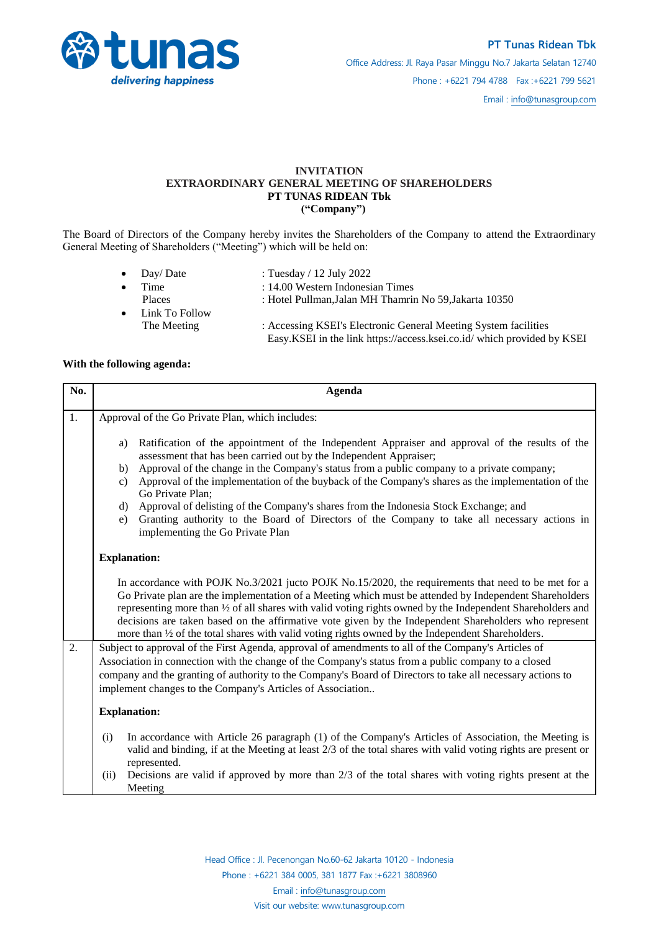

## **INVITATION EXTRAORDINARY GENERAL MEETING OF SHAREHOLDERS PT TUNAS RIDEAN Tbk ("Company")**

The Board of Directors of the Company hereby invites the Shareholders of the Company to attend the Extraordinary General Meeting of Shareholders ("Meeting") which will be held on:

- Day/ Date : Tuesday / 12 July 2022 Time : 14.00 Western Indonesian Times Places : Hotel Pullman,Jalan MH Thamrin No 59,Jakarta 10350 Link To Follow
- The Meeting : Accessing KSEI's Electronic General Meeting System facilities Easy.KSEI in the link https://access.ksei.co.id/ which provided by KSEI

## **With the following agenda:**

| No. | <b>Agenda</b>                                                                                                                                                                                                                                                                                                                                                                                                                                                                                                                                                                                                                                           |
|-----|---------------------------------------------------------------------------------------------------------------------------------------------------------------------------------------------------------------------------------------------------------------------------------------------------------------------------------------------------------------------------------------------------------------------------------------------------------------------------------------------------------------------------------------------------------------------------------------------------------------------------------------------------------|
| 1.  | Approval of the Go Private Plan, which includes:                                                                                                                                                                                                                                                                                                                                                                                                                                                                                                                                                                                                        |
|     | Ratification of the appointment of the Independent Appraiser and approval of the results of the<br>a)<br>assessment that has been carried out by the Independent Appraiser;<br>Approval of the change in the Company's status from a public company to a private company;<br>b)<br>Approval of the implementation of the buyback of the Company's shares as the implementation of the<br>c)<br>Go Private Plan;<br>Approval of delisting of the Company's shares from the Indonesia Stock Exchange; and<br>d)<br>Granting authority to the Board of Directors of the Company to take all necessary actions in<br>e)<br>implementing the Go Private Plan |
|     | <b>Explanation:</b>                                                                                                                                                                                                                                                                                                                                                                                                                                                                                                                                                                                                                                     |
|     | In accordance with POJK No.3/2021 jucto POJK No.15/2020, the requirements that need to be met for a<br>Go Private plan are the implementation of a Meeting which must be attended by Independent Shareholders<br>representing more than 1/2 of all shares with valid voting rights owned by the Independent Shareholders and<br>decisions are taken based on the affirmative vote given by the Independent Shareholders who represent<br>more than 1/2 of the total shares with valid voting rights owned by the Independent Shareholders.                                                                                                              |
| 2.  | Subject to approval of the First Agenda, approval of amendments to all of the Company's Articles of<br>Association in connection with the change of the Company's status from a public company to a closed<br>company and the granting of authority to the Company's Board of Directors to take all necessary actions to<br>implement changes to the Company's Articles of Association                                                                                                                                                                                                                                                                  |
|     | <b>Explanation:</b>                                                                                                                                                                                                                                                                                                                                                                                                                                                                                                                                                                                                                                     |
|     | In accordance with Article 26 paragraph (1) of the Company's Articles of Association, the Meeting is<br>(i)<br>valid and binding, if at the Meeting at least 2/3 of the total shares with valid voting rights are present or<br>represented.                                                                                                                                                                                                                                                                                                                                                                                                            |
|     | Decisions are valid if approved by more than $2/3$ of the total shares with voting rights present at the<br>(ii)<br>Meeting                                                                                                                                                                                                                                                                                                                                                                                                                                                                                                                             |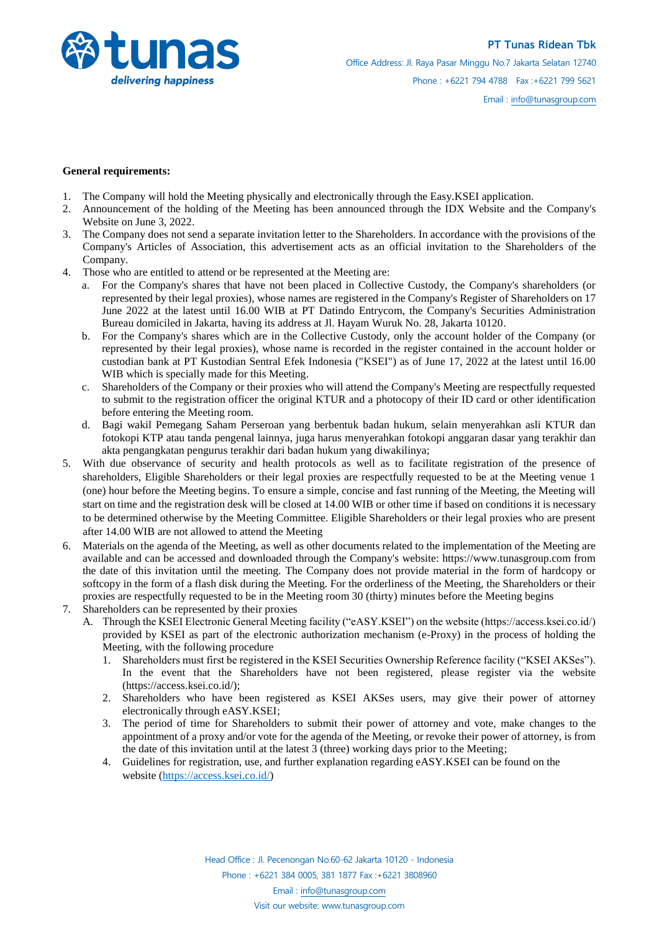

## **General requirements:**

- 1. The Company will hold the Meeting physically and electronically through the Easy.KSEI application.
- 2. Announcement of the holding of the Meeting has been announced through the IDX Website and the Company's Website on June 3, 2022.
- 3. The Company does not send a separate invitation letter to the Shareholders. In accordance with the provisions of the Company's Articles of Association, this advertisement acts as an official invitation to the Shareholders of the Company.
- 4. Those who are entitled to attend or be represented at the Meeting are:
	- a. For the Company's shares that have not been placed in Collective Custody, the Company's shareholders (or represented by their legal proxies), whose names are registered in the Company's Register of Shareholders on 17 June 2022 at the latest until 16.00 WIB at PT Datindo Entrycom, the Company's Securities Administration Bureau domiciled in Jakarta, having its address at Jl. Hayam Wuruk No. 28, Jakarta 10120.
	- b. For the Company's shares which are in the Collective Custody, only the account holder of the Company (or represented by their legal proxies), whose name is recorded in the register contained in the account holder or custodian bank at PT Kustodian Sentral Efek Indonesia ("KSEI") as of June 17, 2022 at the latest until 16.00 WIB which is specially made for this Meeting.
	- c. Shareholders of the Company or their proxies who will attend the Company's Meeting are respectfully requested to submit to the registration officer the original KTUR and a photocopy of their ID card or other identification before entering the Meeting room.
	- d. Bagi wakil Pemegang Saham Perseroan yang berbentuk badan hukum, selain menyerahkan asli KTUR dan fotokopi KTP atau tanda pengenal lainnya, juga harus menyerahkan fotokopi anggaran dasar yang terakhir dan akta pengangkatan pengurus terakhir dari badan hukum yang diwakilinya;
- 5. With due observance of security and health protocols as well as to facilitate registration of the presence of shareholders, Eligible Shareholders or their legal proxies are respectfully requested to be at the Meeting venue 1 (one) hour before the Meeting begins. To ensure a simple, concise and fast running of the Meeting, the Meeting will start on time and the registration desk will be closed at 14.00 WIB or other time if based on conditions it is necessary to be determined otherwise by the Meeting Committee. Eligible Shareholders or their legal proxies who are present after 14.00 WIB are not allowed to attend the Meeting
- 6. Materials on the agenda of the Meeting, as well as other documents related to the implementation of the Meeting are available and can be accessed and downloaded through the Company's website: https://www.tunasgroup.com from the date of this invitation until the meeting. The Company does not provide material in the form of hardcopy or softcopy in the form of a flash disk during the Meeting. For the orderliness of the Meeting, the Shareholders or their proxies are respectfully requested to be in the Meeting room 30 (thirty) minutes before the Meeting begins
- 7. Shareholders can be represented by their proxies
	- A. Through the KSEI Electronic General Meeting facility ("eASY.KSEI") on the website (https://access.ksei.co.id/) provided by KSEI as part of the electronic authorization mechanism (e-Proxy) in the process of holding the Meeting, with the following procedure
		- 1. Shareholders must first be registered in the KSEI Securities Ownership Reference facility ("KSEI AKSes"). In the event that the Shareholders have not been registered, please register via the website (https://access.ksei.co.id/);
		- 2. Shareholders who have been registered as KSEI AKSes users, may give their power of attorney electronically through eASY.KSEI;
		- 3. The period of time for Shareholders to submit their power of attorney and vote, make changes to the appointment of a proxy and/or vote for the agenda of the Meeting, or revoke their power of attorney, is from the date of this invitation until at the latest 3 (three) working days prior to the Meeting;
		- 4. Guidelines for registration, use, and further explanation regarding eASY.KSEI can be found on the website [\(https://access.ksei.co.id/\)](https://access.ksei.co.id/)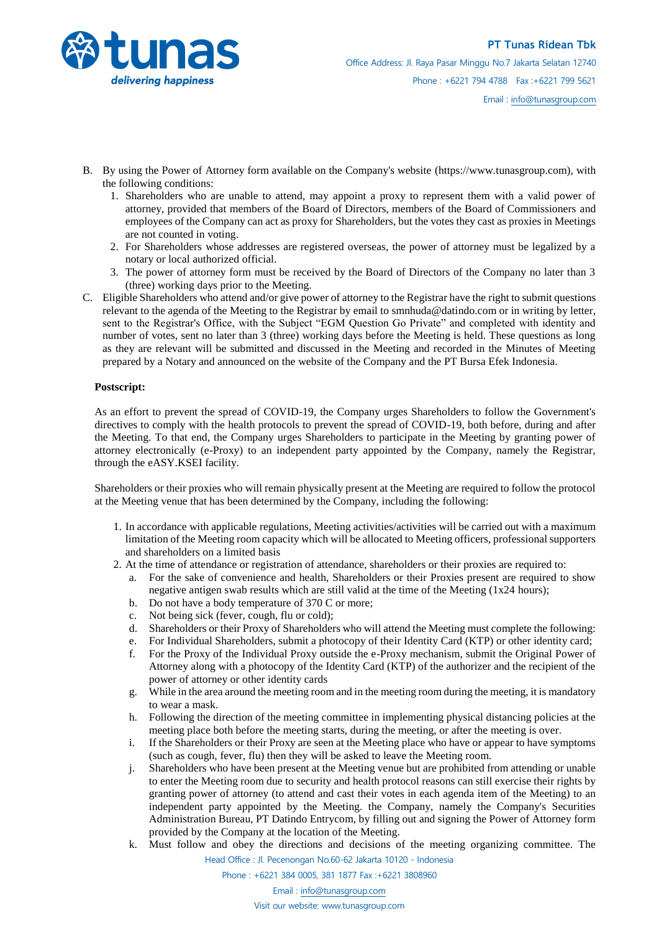

- B. By using the Power of Attorney form available on the Company's website (https://www.tunasgroup.com), with the following conditions:
	- 1. Shareholders who are unable to attend, may appoint a proxy to represent them with a valid power of attorney, provided that members of the Board of Directors, members of the Board of Commissioners and employees of the Company can act as proxy for Shareholders, but the votes they cast as proxies in Meetings are not counted in voting.
	- 2. For Shareholders whose addresses are registered overseas, the power of attorney must be legalized by a notary or local authorized official.
	- 3. The power of attorney form must be received by the Board of Directors of the Company no later than 3 (three) working days prior to the Meeting.
- C. Eligible Shareholders who attend and/or give power of attorney to the Registrar have the right to submit questions relevant to the agenda of the Meeting to the Registrar by email to smnhuda@datindo.com or in writing by letter, sent to the Registrar's Office, with the Subject "EGM Question Go Private" and completed with identity and number of votes, sent no later than 3 (three) working days before the Meeting is held. These questions as long as they are relevant will be submitted and discussed in the Meeting and recorded in the Minutes of Meeting prepared by a Notary and announced on the website of the Company and the PT Bursa Efek Indonesia.

## **Postscript:**

As an effort to prevent the spread of COVID-19, the Company urges Shareholders to follow the Government's directives to comply with the health protocols to prevent the spread of COVID-19, both before, during and after the Meeting. To that end, the Company urges Shareholders to participate in the Meeting by granting power of attorney electronically (e-Proxy) to an independent party appointed by the Company, namely the Registrar, through the eASY.KSEI facility.

Shareholders or their proxies who will remain physically present at the Meeting are required to follow the protocol at the Meeting venue that has been determined by the Company, including the following:

- 1. In accordance with applicable regulations, Meeting activities/activities will be carried out with a maximum limitation of the Meeting room capacity which will be allocated to Meeting officers, professional supporters and shareholders on a limited basis
- 2. At the time of attendance or registration of attendance, shareholders or their proxies are required to:
	- a. For the sake of convenience and health, Shareholders or their Proxies present are required to show negative antigen swab results which are still valid at the time of the Meeting (1x24 hours);
	- b. Do not have a body temperature of 370 C or more;
	- c. Not being sick (fever, cough, flu or cold);
	- d. Shareholders or their Proxy of Shareholders who will attend the Meeting must complete the following:
	- e. For Individual Shareholders, submit a photocopy of their Identity Card (KTP) or other identity card;
	- f. For the Proxy of the Individual Proxy outside the e-Proxy mechanism, submit the Original Power of Attorney along with a photocopy of the Identity Card (KTP) of the authorizer and the recipient of the power of attorney or other identity cards
	- g. While in the area around the meeting room and in the meeting room during the meeting, it is mandatory to wear a mask.
	- h. Following the direction of the meeting committee in implementing physical distancing policies at the meeting place both before the meeting starts, during the meeting, or after the meeting is over.
	- i. If the Shareholders or their Proxy are seen at the Meeting place who have or appear to have symptoms (such as cough, fever, flu) then they will be asked to leave the Meeting room.
	- j. Shareholders who have been present at the Meeting venue but are prohibited from attending or unable to enter the Meeting room due to security and health protocol reasons can still exercise their rights by granting power of attorney (to attend and cast their votes in each agenda item of the Meeting) to an independent party appointed by the Meeting. the Company, namely the Company's Securities Administration Bureau, PT Datindo Entrycom, by filling out and signing the Power of Attorney form provided by the Company at the location of the Meeting.
	- Head Office : Jl. Pecenongan No.60-62 Jakarta 10120 Indonesia k. Must follow and obey the directions and decisions of the meeting organizing committee. The

Phone : +6221 384 0005, 381 1877 Fax :+6221 3808960

Email : [info@tunasgroup.com](mailto:info@tunasgroup.com)